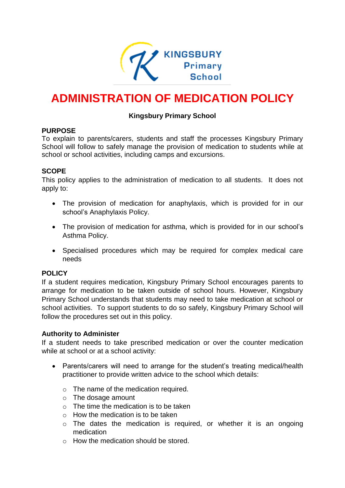

# **ADMINISTRATION OF MEDICATION POLICY**

## **Kingsbury Primary School**

#### **PURPOSE**

To explain to parents/carers, students and staff the processes Kingsbury Primary School will follow to safely manage the provision of medication to students while at school or school activities, including camps and excursions.

#### **SCOPE**

This policy applies to the administration of medication to all students. It does not apply to:

- The provision of medication for anaphylaxis, which is provided for in our school's Anaphylaxis Policy.
- The provision of medication for asthma, which is provided for in our school's Asthma Policy.
- Specialised procedures which may be required for complex medical care needs

#### **POLICY**

If a student requires medication, Kingsbury Primary School encourages parents to arrange for medication to be taken outside of school hours. However, Kingsbury Primary School understands that students may need to take medication at school or school activities. To support students to do so safely, Kingsbury Primary School will follow the procedures set out in this policy.

#### **Authority to Administer**

If a student needs to take prescribed medication or over the counter medication while at school or at a school activity:

- Parents/carers will need to arrange for the student's treating medical/health practitioner to provide written advice to the school which details:
	- o The name of the medication required.
	- $\circ$  The dosage amount
	- $\circ$  The time the medication is to be taken
	- $\circ$  How the medication is to be taken
	- $\circ$  The dates the medication is required, or whether it is an ongoing medication
	- o How the medication should be stored.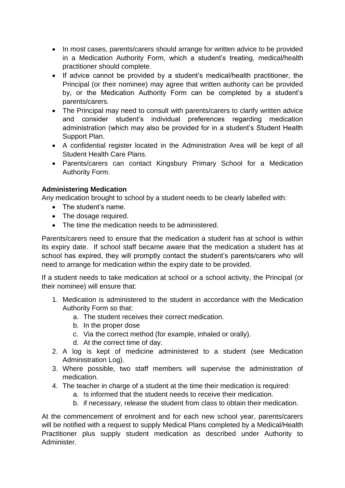- In most cases, parents/carers should arrange for written advice to be provided in a Medication Authority Form, which a student's treating, medical/health practitioner should complete.
- If advice cannot be provided by a student's medical/health practitioner, the Principal (or their nominee) may agree that written authority can be provided by, or the Medication Authority Form can be completed by a student's parents/carers.
- The Principal may need to consult with parents/carers to clarify written advice and consider student's individual preferences regarding medication administration (which may also be provided for in a student's Student Health Support Plan.
- A confidential register located in the Administration Area will be kept of all Student Health Care Plans.
- Parents/carers can contact Kingsbury Primary School for a Medication Authority Form.

# **Administering Medication**

Any medication brought to school by a student needs to be clearly labelled with:

- The student's name.
- The dosage required.
- The time the medication needs to be administered.

Parents/carers need to ensure that the medication a student has at school is within its expiry date. If school staff became aware that the medication a student has at school has expired, they will promptly contact the student's parents/carers who will need to arrange for medication within the expiry date to be provided.

If a student needs to take medication at school or a school activity, the Principal (or their nominee) will ensure that:

- 1. Medication is administered to the student in accordance with the Medication Authority Form so that:
	- a. The student receives their correct medication.
	- b. In the proper dose
	- c. Via the correct method (for example, inhaled or orally).
	- d. At the correct time of day.
- 2. A log is kept of medicine administered to a student (see Medication Administration Log).
- 3. Where possible, two staff members will supervise the administration of medication.
- 4. The teacher in charge of a student at the time their medication is required:
	- a. Is informed that the student needs to receive their medication.
	- b. if necessary, release the student from class to obtain their medication.

At the commencement of enrolment and for each new school year, parents/carers will be notified with a request to supply Medical Plans completed by a Medical/Health Practitioner plus supply student medication as described under Authority to Administer.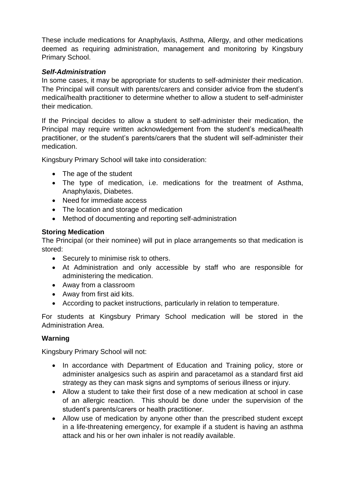These include medications for Anaphylaxis, Asthma, Allergy, and other medications deemed as requiring administration, management and monitoring by Kingsbury Primary School.

## *Self-Administration*

In some cases, it may be appropriate for students to self-administer their medication. The Principal will consult with parents/carers and consider advice from the student's medical/health practitioner to determine whether to allow a student to self-administer their medication.

If the Principal decides to allow a student to self-administer their medication, the Principal may require written acknowledgement from the student's medical/health practitioner, or the student's parents/carers that the student will self-administer their medication.

Kingsbury Primary School will take into consideration:

- The age of the student
- The type of medication, i.e. medications for the treatment of Asthma, Anaphylaxis, Diabetes.
- Need for immediate access
- The location and storage of medication
- Method of documenting and reporting self-administration

# **Storing Medication**

The Principal (or their nominee) will put in place arrangements so that medication is stored:

- Securely to minimise risk to others.
- At Administration and only accessible by staff who are responsible for administering the medication.
- Away from a classroom
- Away from first aid kits.
- According to packet instructions, particularly in relation to temperature.

For students at Kingsbury Primary School medication will be stored in the Administration Area.

# **Warning**

Kingsbury Primary School will not:

- In accordance with Department of Education and Training policy, store or administer analgesics such as aspirin and paracetamol as a standard first aid strategy as they can mask signs and symptoms of serious illness or injury.
- Allow a student to take their first dose of a new medication at school in case of an allergic reaction. This should be done under the supervision of the student's parents/carers or health practitioner.
- Allow use of medication by anyone other than the prescribed student except in a life-threatening emergency, for example if a student is having an asthma attack and his or her own inhaler is not readily available.